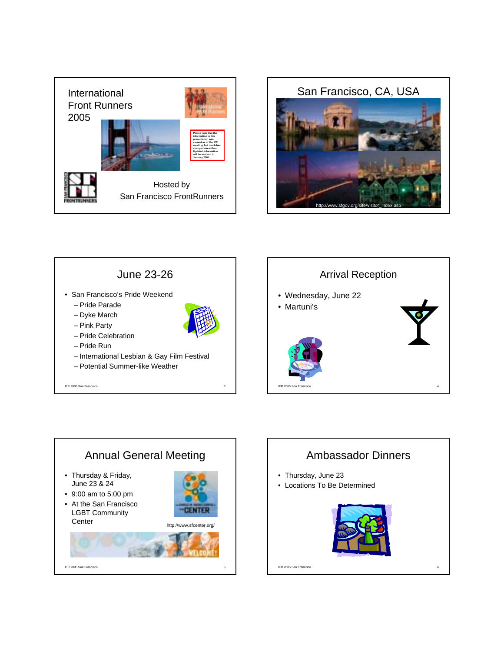









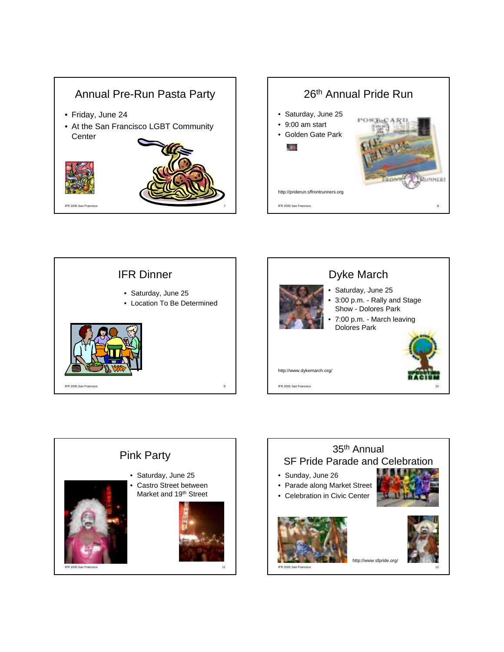